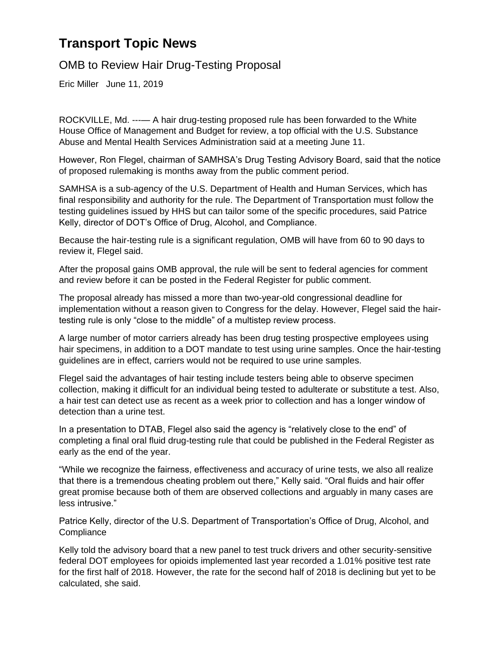## **Transport Topic News**

OMB to Review Hair Drug-Testing Proposal

Eric Miller June 11, 2019

ROCKVILLE, Md. ---— A hair drug-testing proposed rule has been forwarded to the White House Office of Management and Budget for review, a top official with the U.S. Substance Abuse and Mental Health Services Administration said at a meeting June 11.

However, Ron Flegel, chairman of SAMHSA's Drug Testing Advisory Board, said that the notice of proposed rulemaking is months away from the public comment period.

SAMHSA is a sub-agency of the U.S. Department of Health and Human Services, which has final responsibility and authority for the rule. The Department of Transportation must follow the testing guidelines issued by HHS but can tailor some of the specific procedures, said Patrice Kelly, director of DOT's Office of Drug, Alcohol, and Compliance.

Because the hair-testing rule is a significant regulation, OMB will have from 60 to 90 days to review it, Flegel said.

After the proposal gains OMB approval, the rule will be sent to federal agencies for comment and review before it can be posted in the Federal Register for public comment.

The proposal already has missed a more than two-year-old congressional deadline for implementation without a reason given to Congress for the delay. However, Flegel said the hairtesting rule is only "close to the middle" of a multistep review process.

A large number of motor carriers already has been drug testing prospective employees using hair specimens, in addition to a DOT mandate to test using urine samples. Once the hair-testing guidelines are in effect, carriers would not be required to use urine samples.

Flegel said the advantages of hair testing include testers being able to observe specimen collection, making it difficult for an individual being tested to adulterate or substitute a test. Also, a hair test can detect use as recent as a week prior to collection and has a longer window of detection than a urine test.

In a presentation to DTAB, Flegel also said the agency is "relatively close to the end" of completing a final oral fluid drug-testing rule that could be published in the Federal Register as early as the end of the year.

"While we recognize the fairness, effectiveness and accuracy of urine tests, we also all realize that there is a tremendous cheating problem out there," Kelly said. "Oral fluids and hair offer great promise because both of them are observed collections and arguably in many cases are less intrusive."

Patrice Kelly, director of the U.S. Department of Transportation's Office of Drug, Alcohol, and **Compliance** 

Kelly told the advisory board that a new panel to test truck drivers and other security-sensitive federal DOT employees for opioids implemented last year recorded a 1.01% positive test rate for the first half of 2018. However, the rate for the second half of 2018 is declining but yet to be calculated, she said.